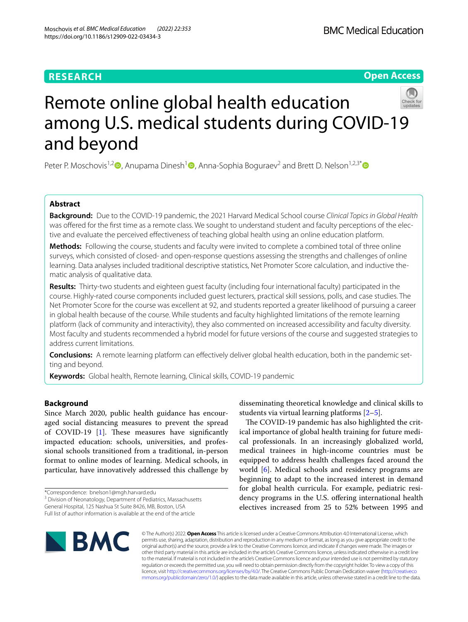## **RESEARCH**

## **Open Access**



# Remote online global health education among U.S. medical students during COVID-19 and beyond

Peter P. Moschovis<sup>1,[2](https://orcid.org/0000-0002-9664-5959)</sup>  $\bullet$ , Anupama Dinesh<sup>[1](https://orcid.org/0000-0001-7678-548X)</sup>  $\bullet$ , Anna-Sophia Boguraev<sup>2</sup> and Brett D. Nelson<sup>1,2,3\*</sup>  $\bullet$ 

## **Abstract**

**Background:** Due to the COVID-19 pandemic, the 2021 Harvard Medical School course *Clinical Topics in Global Health* was offered for the first time as a remote class. We sought to understand student and faculty perceptions of the elective and evaluate the perceived efectiveness of teaching global health using an online education platform.

**Methods:** Following the course, students and faculty were invited to complete a combined total of three online surveys, which consisted of closed- and open-response questions assessing the strengths and challenges of online learning. Data analyses included traditional descriptive statistics, Net Promoter Score calculation, and inductive thematic analysis of qualitative data.

**Results:** Thirty-two students and eighteen guest faculty (including four international faculty) participated in the course. Highly-rated course components included guest lecturers, practical skill sessions, polls, and case studies. The Net Promoter Score for the course was excellent at 92, and students reported a greater likelihood of pursuing a career in global health because of the course. While students and faculty highlighted limitations of the remote learning platform (lack of community and interactivity), they also commented on increased accessibility and faculty diversity. Most faculty and students recommended a hybrid model for future versions of the course and suggested strategies to address current limitations.

**Conclusions:** A remote learning platform can efectively deliver global health education, both in the pandemic set‑ ting and beyond.

**Keywords:** Global health, Remote learning, Clinical skills, COVID-19 pandemic

## **Background**

Since March 2020, public health guidance has encouraged social distancing measures to prevent the spread of COVID-19 [\[1](#page-8-0)]. These measures have significantly impacted education: schools, universities, and professional schools transitioned from a traditional, in-person format to online modes of learning. Medical schools, in particular, have innovatively addressed this challenge by

\*Correspondence: bnelson1@mgh.harvard.edu

<sup>3</sup> Division of Neonatology, Department of Pediatrics, Massachusetts

disseminating theoretical knowledge and clinical skills to students via virtual learning platforms [[2](#page-8-1)[–5](#page-8-2)].

The COVID-19 pandemic has also highlighted the critical importance of global health training for future medical professionals. In an increasingly globalized world, medical trainees in high-income countries must be equipped to address health challenges faced around the world [\[6](#page-8-3)]. Medical schools and residency programs are beginning to adapt to the increased interest in demand for global health curricula. For example, pediatric residency programs in the U.S. offering international health electives increased from 25 to 52% between 1995 and



© The Author(s) 2022. **Open Access** This article is licensed under a Creative Commons Attribution 4.0 International License, which permits use, sharing, adaptation, distribution and reproduction in any medium or format, as long as you give appropriate credit to the original author(s) and the source, provide a link to the Creative Commons licence, and indicate if changes were made. The images or other third party material in this article are included in the article's Creative Commons licence, unless indicated otherwise in a credit line to the material. If material is not included in the article's Creative Commons licence and your intended use is not permitted by statutory regulation or exceeds the permitted use, you will need to obtain permission directly from the copyright holder. To view a copy of this licence, visit [http://creativecommons.org/licenses/by/4.0/.](http://creativecommons.org/licenses/by/4.0/) The Creative Commons Public Domain Dedication waiver ([http://creativeco](http://creativecommons.org/publicdomain/zero/1.0/) [mmons.org/publicdomain/zero/1.0/](http://creativecommons.org/publicdomain/zero/1.0/)) applies to the data made available in this article, unless otherwise stated in a credit line to the data.

General Hospital, 125 Nashua St Suite 8426, MB, Boston, USA Full list of author information is available at the end of the article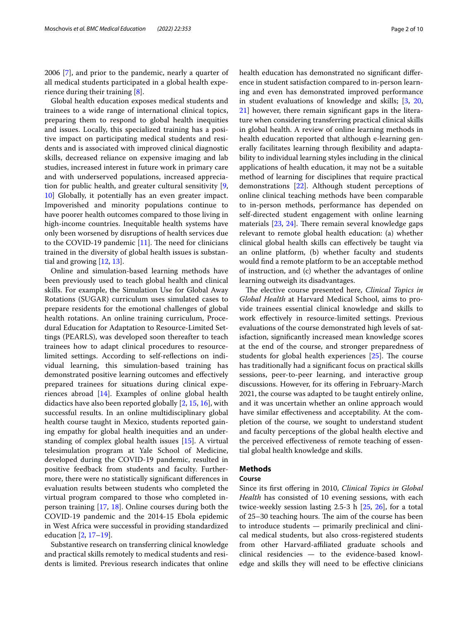2006 [[7\]](#page-8-4), and prior to the pandemic, nearly a quarter of all medical students participated in a global health experience during their training [\[8](#page-8-5)].

Global health education exposes medical students and trainees to a wide range of international clinical topics, preparing them to respond to global health inequities and issues. Locally, this specialized training has a positive impact on participating medical students and residents and is associated with improved clinical diagnostic skills, decreased reliance on expensive imaging and lab studies, increased interest in future work in primary care and with underserved populations, increased appreciation for public health, and greater cultural sensitivity [\[9](#page-8-6), [10\]](#page-8-7) Globally, it potentially has an even greater impact. Impoverished and minority populations continue to have poorer health outcomes compared to those living in high-income countries. Inequitable health systems have only been worsened by disruptions of health services due to the COVID-19 pandemic  $[11]$  $[11]$ . The need for clinicians trained in the diversity of global health issues is substantial and growing [\[12](#page-8-9), [13\]](#page-8-10).

Online and simulation-based learning methods have been previously used to teach global health and clinical skills. For example, the Simulation Use for Global Away Rotations (SUGAR) curriculum uses simulated cases to prepare residents for the emotional challenges of global health rotations. An online training curriculum, Procedural Education for Adaptation to Resource-Limited Settings (PEARLS), was developed soon thereafter to teach trainees how to adapt clinical procedures to resourcelimited settings. According to self-refections on individual learning, this simulation-based training has demonstrated positive learning outcomes and efectively prepared trainees for situations during clinical experiences abroad [\[14\]](#page-8-11). Examples of online global health didactics have also been reported globally [\[2](#page-8-1), [15](#page-8-12), [16\]](#page-8-13), with successful results. In an online multidisciplinary global health course taught in Mexico, students reported gaining empathy for global health inequities and an understanding of complex global health issues [\[15](#page-8-12)]. A virtual telesimulation program at Yale School of Medicine, developed during the COVID-19 pandemic, resulted in positive feedback from students and faculty. Furthermore, there were no statistically signifcant diferences in evaluation results between students who completed the virtual program compared to those who completed inperson training [\[17](#page-8-14), [18](#page-9-0)]. Online courses during both the COVID-19 pandemic and the 2014-15 Ebola epidemic in West Africa were successful in providing standardized education [[2,](#page-8-1) [17](#page-8-14)–[19\]](#page-9-1).

Substantive research on transferring clinical knowledge and practical skills remotely to medical students and residents is limited. Previous research indicates that online health education has demonstrated no signifcant diference in student satisfaction compared to in-person learning and even has demonstrated improved performance in student evaluations of knowledge and skills; [[3,](#page-8-15) [20](#page-9-2), [21\]](#page-9-3) however, there remain signifcant gaps in the literature when considering transferring practical clinical skills in global health. A review of online learning methods in health education reported that although e-learning generally facilitates learning through fexibility and adaptability to individual learning styles including in the clinical applications of health education, it may not be a suitable method of learning for disciplines that require practical demonstrations [\[22\]](#page-9-4). Although student perceptions of online clinical teaching methods have been comparable to in-person methods, performance has depended on self-directed student engagement with online learning materials  $[23, 24]$  $[23, 24]$  $[23, 24]$  $[23, 24]$ . There remain several knowledge gaps relevant to remote global health education: (a) whether clinical global health skills can efectively be taught via an online platform, (b) whether faculty and students would fnd a remote platform to be an acceptable method of instruction, and (c) whether the advantages of online learning outweigh its disadvantages.

The elective course presented here, *Clinical Topics in Global Health* at Harvard Medical School, aims to provide trainees essential clinical knowledge and skills to work efectively in resource-limited settings. Previous evaluations of the course demonstrated high levels of satisfaction, signifcantly increased mean knowledge scores at the end of the course, and stronger preparedness of students for global health experiences  $[25]$  $[25]$ . The course has traditionally had a signifcant focus on practical skills sessions, peer-to-peer learning, and interactive group discussions. However, for its ofering in February-March 2021, the course was adapted to be taught entirely online, and it was uncertain whether an online approach would have similar efectiveness and acceptability. At the completion of the course, we sought to understand student and faculty perceptions of the global health elective and the perceived efectiveness of remote teaching of essential global health knowledge and skills.

## **Methods**

#### **Course**

Since its first offering in 2010, *Clinical Topics in Global Health* has consisted of 10 evening sessions, with each twice-weekly session lasting 2.5-3 h [[25,](#page-9-7) [26](#page-9-8)], for a total of 25–30 teaching hours. The aim of the course has been to introduce students — primarily preclinical and clinical medical students, but also cross-registered students from other Harvard-affiliated graduate schools and clinical residencies — to the evidence-based knowledge and skills they will need to be efective clinicians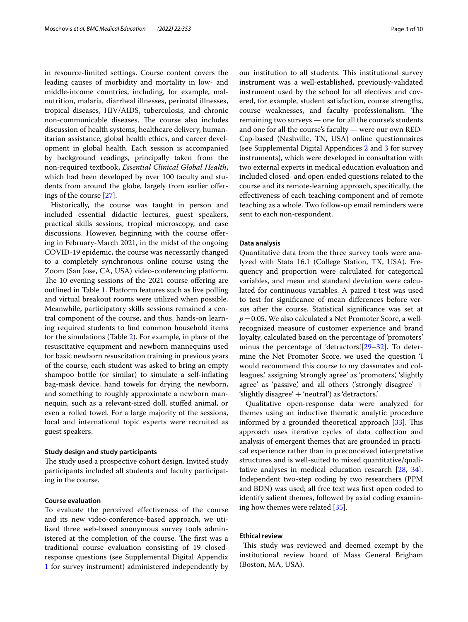in resource-limited settings. Course content covers the leading causes of morbidity and mortality in low- and middle-income countries, including, for example, malnutrition, malaria, diarrheal illnesses, perinatal illnesses, tropical diseases, HIV/AIDS, tuberculosis, and chronic non-communicable diseases. The course also includes discussion of health systems, healthcare delivery, humanitarian assistance, global health ethics, and career development in global health. Each session is accompanied by background readings, principally taken from the non-required textbook, *Essential Clinical Global Health*, which had been developed by over 100 faculty and students from around the globe, largely from earlier oferings of the course [[27\]](#page-9-9).

Historically, the course was taught in person and included essential didactic lectures, guest speakers, practical skills sessions, tropical microscopy, and case discussions. However, beginning with the course ofering in February-March 2021, in the midst of the ongoing COVID-19 epidemic, the course was necessarily changed to a completely synchronous online course using the Zoom (San Jose, CA, USA) video-conferencing platform. The 10 evening sessions of the 2021 course offering are outlined in Table [1](#page-3-0). Platform features such as live polling and virtual breakout rooms were utilized when possible. Meanwhile, participatory skills sessions remained a central component of the course, and thus, hands-on learning required students to fnd common household items for the simulations (Table [2](#page-4-0)). For example, in place of the resuscitative equipment and newborn mannequins used for basic newborn resuscitation training in previous years of the course, each student was asked to bring an empty shampoo bottle (or similar) to simulate a self-infating bag-mask device, hand towels for drying the newborn, and something to roughly approximate a newborn mannequin, such as a relevant-sized doll, stufed animal, or even a rolled towel. For a large majority of the sessions, local and international topic experts were recruited as guest speakers.

#### **Study design and study participants**

The study used a prospective cohort design. Invited study participants included all students and faculty participating in the course.

## **Course evaluation**

To evaluate the perceived efectiveness of the course and its new video-conference-based approach, we utilized three web-based anonymous survey tools administered at the completion of the course. The first was a traditional course evaluation consisting of 19 closedresponse questions (see Supplemental Digital Appendix [1](#page-8-16) for survey instrument) administered independently by our institution to all students. This institutional survey instrument was a well-established, previously-validated instrument used by the school for all electives and covered, for example, student satisfaction, course strengths, course weaknesses, and faculty professionalism. The remaining two surveys — one for all the course's students and one for all the course's faculty — were our own RED-Cap-based (Nashville, TN, USA) online questionnaires (see Supplemental Digital Appendices [2](#page-8-17) and [3](#page-8-18) for survey instruments), which were developed in consultation with two external experts in medical education evaluation and included closed- and open-ended questions related to the course and its remote-learning approach, specifcally, the efectiveness of each teaching component and of remote teaching as a whole. Two follow-up email reminders were sent to each non-respondent.

#### **Data analysis**

Quantitative data from the three survey tools were analyzed with Stata 16.1 (College Station, TX, USA). Frequency and proportion were calculated for categorical variables, and mean and standard deviation were calculated for continuous variables. A paired t-test was used to test for signifcance of mean diferences before versus after the course. Statistical signifcance was set at *p*=0.05. We also calculated a Net Promoter Score, a wellrecognized measure of customer experience and brand loyalty, calculated based on the percentage of 'promoters' minus the percentage of 'detractors.'[\[29](#page-9-10)[–32\]](#page-9-11). To determine the Net Promoter Score, we used the question 'I would recommend this course to my classmates and colleagues,' assigning 'strongly agree' as 'promoters,' 'slightly agree' as 'passive,' and all others ('strongly disagree'  $+$ 'slightly disagree' + 'neutral') as 'detractors.'

Qualitative open-response data were analyzed for themes using an inductive thematic analytic procedure informed by a grounded theoretical approach  $[33]$  $[33]$ . This approach uses iterative cycles of data collection and analysis of emergent themes that are grounded in practical experience rather than in preconceived interpretative structures and is well-suited to mixed quantitative/qualitative analyses in medical education research [[28,](#page-9-13) [34](#page-9-14)]. Independent two-step coding by two researchers (PPM and BDN) was used; all free text was frst open coded to identify salient themes, followed by axial coding examining how themes were related [[35\]](#page-9-15).

## **Ethical review**

This study was reviewed and deemed exempt by the institutional review board of Mass General Brigham (Boston, MA, USA).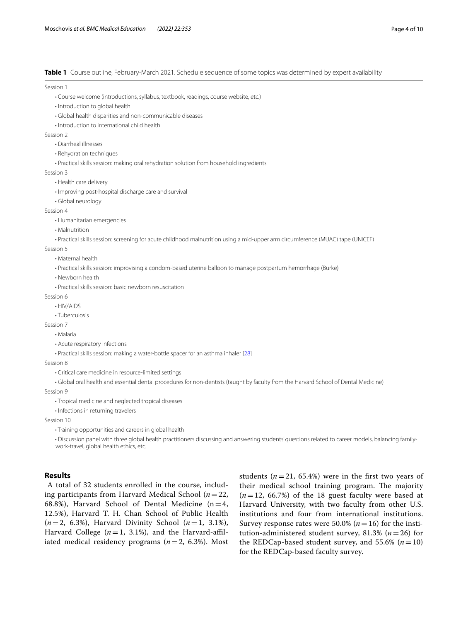<span id="page-3-0"></span>**Table 1** Course outline, February-March 2021. Schedule sequence of some topics was determined by expert availability

Session 1

- Course welcome (introductions, syllabus, textbook, readings, course website, etc.)
- Introduction to global health
- Global health disparities and non-communicable diseases
- Introduction to international child health

Session 2

- Diarrheal illnesses
- Rehydration techniques
- Practical skills session: making oral rehydration solution from household ingredients

Session 3

- Health care delivery
- Improving post-hospital discharge care and survival
- Global neurology

Session 4

- Humanitarian emergencies
- Malnutrition
- Practical skills session: screening for acute childhood malnutrition using a mid-upper arm circumference (MUAC) tape (UNICEF)

Session 5

- Maternal health
- Practical skills session: improvising a condom-based uterine balloon to manage postpartum hemorrhage (Burke)
- Newborn health
- Practical skills session: basic newborn resuscitation

Session 6

- HIV/AIDS
- Tuberculosis

Session 7

- Malaria
- Acute respiratory infections

• Practical skills session: making a water-bottle spacer for an asthma inhaler [[28\]](#page-9-13)

Session 8

• Critical care medicine in resource-limited settings

• Global oral health and essential dental procedures for non-dentists (taught by faculty from the Harvard School of Dental Medicine)

Session 9

• Tropical medicine and neglected tropical diseases

• Infections in returning travelers

Session 10

• Training opportunities and careers in global health

 • Discussion panel with three global health practitioners discussing and answering students' questions related to career models, balancing familywork-travel, global health ethics, etc.

## **Results**

 A total of 32 students enrolled in the course, including participants from Harvard Medical School (*n*=22, 68.8%), Harvard School of Dental Medicine ( $n=4$ , 12.5%), Harvard T. H. Chan School of Public Health (*n*=2, 6.3%), Harvard Divinity School (*n*=1, 3.1%), Harvard College  $(n=1, 3.1\%)$ , and the Harvard-affiliated medical residency programs (*n*=2, 6.3%). Most

students  $(n=21, 65.4\%)$  were in the first two years of their medical school training program. The majority  $(n=12, 66.7%)$  of the 18 guest faculty were based at Harvard University, with two faculty from other U.S. institutions and four from international institutions. Survey response rates were 50.0% ( $n=16$ ) for the institution-administered student survey, 81.3% (*n*=26) for the REDCap-based student survey, and 55.6%  $(n=10)$ for the REDCap-based faculty survey.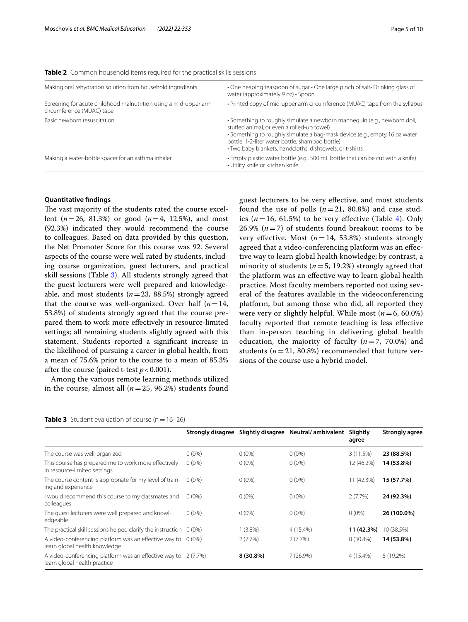<span id="page-4-0"></span>

| <b>Table 2</b> Common household items required for the practical skills sessions |  |
|----------------------------------------------------------------------------------|--|
|----------------------------------------------------------------------------------|--|

| Making oral rehydration solution from household ingredients                                   | • One heaping teaspoon of sugar • One large pinch of salt• Drinking glass of<br>water (approximately 9 oz) • Spoon                                                                                                                                                                                                  |
|-----------------------------------------------------------------------------------------------|---------------------------------------------------------------------------------------------------------------------------------------------------------------------------------------------------------------------------------------------------------------------------------------------------------------------|
| Screening for acute childhood malnutrition using a mid-upper arm<br>circumference (MUAC) tape | • Printed copy of mid-upper arm circumference (MUAC) tape from the syllabus                                                                                                                                                                                                                                         |
| Basic newborn resuscitation                                                                   | • Something to roughly simulate a newborn mannequin (e.g., newborn doll,<br>stuffed animal, or even a rolled-up towel)<br>• Something to roughly simulate a bag-mask device (e.g., empty 16 oz water<br>bottle, 1-2-liter water bottle, shampoo bottle)<br>• Two baby blankets, handcloths, dishtowels, or t-shirts |
| Making a water-bottle spacer for an asthma inhaler                                            | • Empty plastic water bottle (e.g., 500 mL bottle that can be cut with a knife)<br>• Utility knife or kitchen knife                                                                                                                                                                                                 |
|                                                                                               |                                                                                                                                                                                                                                                                                                                     |

#### **Quantitative fndings**

The vast majority of the students rated the course excellent (*n*=26, 81.3%) or good (*n*=4, 12.5%), and most (92.3%) indicated they would recommend the course to colleagues. Based on data provided by this question, the Net Promoter Score for this course was 92. Several aspects of the course were well rated by students, including course organization, guest lecturers, and practical skill sessions (Table [3](#page-4-1)). All students strongly agreed that the guest lecturers were well prepared and knowledgeable, and most students (*n*=23, 88.5%) strongly agreed that the course was well-organized. Over half  $(n=14,$ 53.8%) of students strongly agreed that the course prepared them to work more efectively in resource-limited settings; all remaining students slightly agreed with this statement. Students reported a signifcant increase in the likelihood of pursuing a career in global health, from a mean of 75.6% prior to the course to a mean of 85.3% after the course (paired t-test  $p < 0.001$ ).

Among the various remote learning methods utilized in the course, almost all  $(n=25, 96.2%)$  students found guest lecturers to be very efective, and most students found the use of polls  $(n=21, 80.8%)$  and case studies  $(n=16, 61.5\%)$  to be very effective (Table [4\)](#page-5-0). Only 26.9%  $(n=7)$  of students found breakout rooms to be very effective. Most  $(n=14, 53.8%)$  students strongly agreed that a video-conferencing platform was an efective way to learn global health knowledge; by contrast, a minority of students ( $n=5$ , 19.2%) strongly agreed that the platform was an efective way to learn global health practice. Most faculty members reported not using several of the features available in the videoconferencing platform, but among those who did, all reported they were very or slightly helpful. While most (*n*=6, 60.0%) faculty reported that remote teaching is less efective than in-person teaching in delivering global health education, the majority of faculty  $(n=7, 70.0%)$  and students ( $n=21$ , 80.8%) recommended that future versions of the course use a hybrid model.

#### <span id="page-4-1"></span>**Table 3** Student evaluation of course  $(n=16-26)$

|                                                                                                 | <b>Strongly disagree</b> |             | Slightly disagree Neutral/ambivalent | Slightly<br>agree | <b>Strongly agree</b> |
|-------------------------------------------------------------------------------------------------|--------------------------|-------------|--------------------------------------|-------------------|-----------------------|
| The course was well-organized                                                                   | $0(0\%)$                 | $0(0\%)$    | $0(0\%)$                             | 3(11.5%)          | 23 (88.5%)            |
| This course has prepared me to work more effectively<br>in resource-limited settings            | $0(0\%)$                 | $0(0\%)$    | $0(0\%)$                             | 12 (46.2%)        | 14 (53.8%)            |
| The course content is appropriate for my level of train-<br>ing and experience                  | $0(0\%)$                 | $0(0\%)$    | $0(0\%)$                             | 11 (42.3%)        | 15 (57.7%)            |
| I would recommend this course to my classmates and<br>colleagues                                | $0(0\%)$                 | $0(0\%)$    | $0(0\%)$                             | 2(7.7%)           | 24 (92.3%)            |
| The quest lecturers were well prepared and knowl-<br>edgeable                                   | $0(0\%)$                 | $0(0\%)$    | $0(0\%)$                             | $0(0\%)$          | 26 (100.0%)           |
| The practical skill sessions helped clarify the instruction $0(0\%)$                            |                          | $1(3.8\%)$  | 4 (15.4%)                            | 11 (42.3%)        | 10 (38.5%)            |
| A video-conferencing platform was an effective way to $0$ (0%)<br>learn global health knowledge |                          | 2(7.7%)     | 2(7.7%)                              | 8 (30.8%)         | 14 (53.8%)            |
| A video-conferencing platform was an effective way to 2 (7.7%)<br>learn global health practice  |                          | $8(30.8\%)$ | 7(26.9%)                             | 4 (15.4%)         | $5(19.2\%)$           |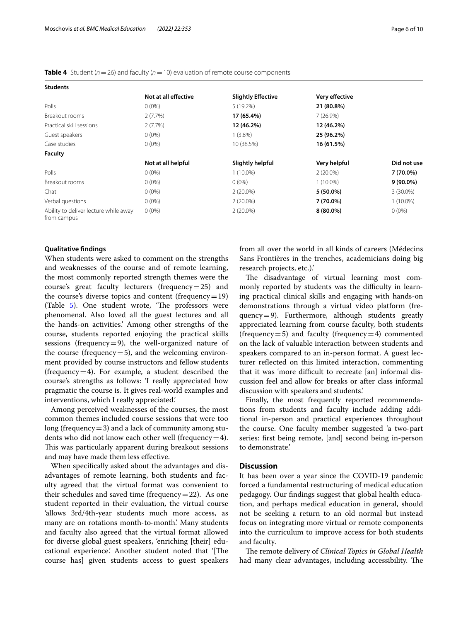<span id="page-5-0"></span>

| <b>Students</b>                                      |                      |                           |                       |             |
|------------------------------------------------------|----------------------|---------------------------|-----------------------|-------------|
|                                                      | Not at all effective | <b>Slightly Effective</b> | <b>Very effective</b> |             |
| Polls                                                | $0(0\%)$             | $5(19.2\%)$               | 21 (80.8%)            |             |
| Breakout rooms                                       | 2(7.7%)              | 17 (65.4%)                | 7(26.9%)              |             |
| Practical skill sessions                             | $2(7.7\%)$           | 12 (46.2%)                | 12 (46.2%)            |             |
| Guest speakers                                       | $0(0\%)$             | $1(3.8\%)$                | 25 (96.2%)            |             |
| Case studies                                         | $0(0\%)$             | 10 (38.5%)                | 16 (61.5%)            |             |
| <b>Faculty</b>                                       |                      |                           |                       |             |
|                                                      | Not at all helpful   | Slightly helpful          | Very helpful          | Did not use |
| Polls                                                | $0(0\%)$             | $1(10.0\%)$               | $2(20.0\%)$           | 7 (70.0%)   |
| Breakout rooms                                       | $0(0\%)$             | $0(0\%)$                  | $1(10.0\%)$           | $9(90.0\%)$ |
| Chat                                                 | $0(0\%)$             | $2(20.0\%)$               | 5 (50.0%)             | 3 (30.0%)   |
| Verbal questions                                     | $0(0\%)$             | $2(20.0\%)$               | 7 (70.0%)             | $1(10.0\%)$ |
| Ability to deliver lecture while away<br>from campus | $0(0\%)$             | $2(20.0\%)$               | $8(80.0\%)$           | $0(0\%)$    |

## **Qualitative fndings**

When students were asked to comment on the strengths and weaknesses of the course and of remote learning, the most commonly reported strength themes were the course's great faculty lecturers (frequency=25) and the course's diverse topics and content (frequency=19) (Table [5\)](#page-6-0). One student wrote, 'The professors were phenomenal. Also loved all the guest lectures and all the hands-on activities.' Among other strengths of the course, students reported enjoying the practical skills sessions (frequency=9), the well-organized nature of the course (frequency  $=$  5), and the welcoming environment provided by course instructors and fellow students (frequency  $=4$ ). For example, a student described the course's strengths as follows: 'I really appreciated how pragmatic the course is. It gives real-world examples and interventions, which I really appreciated.'

Among perceived weaknesses of the courses, the most common themes included course sessions that were too long (frequency  $=$  3) and a lack of community among students who did not know each other well (frequency  $=4$ ). This was particularly apparent during breakout sessions and may have made them less efective.

When specifcally asked about the advantages and disadvantages of remote learning, both students and faculty agreed that the virtual format was convenient to their schedules and saved time (frequency  $=22$ ). As one student reported in their evaluation, the virtual course 'allows 3rd/4th-year students much more access, as many are on rotations month-to-month.' Many students and faculty also agreed that the virtual format allowed for diverse global guest speakers, 'enriching [their] educational experience.' Another student noted that '[The course has] given students access to guest speakers from all over the world in all kinds of careers (Médecins Sans Frontières in the trenches, academicians doing big research projects, etc.).'

The disadvantage of virtual learning most commonly reported by students was the difficulty in learning practical clinical skills and engaging with hands-on demonstrations through a virtual video platform (frequency=9). Furthermore, although students greatly appreciated learning from course faculty, both students (frequency = 5) and faculty (frequency = 4) commented on the lack of valuable interaction between students and speakers compared to an in-person format. A guest lecturer refected on this limited interaction, commenting that it was 'more difficult to recreate [an] informal discussion feel and allow for breaks or after class informal discussion with speakers and students.'

Finally, the most frequently reported recommendations from students and faculty include adding additional in-person and practical experiences throughout the course. One faculty member suggested 'a two-part series: frst being remote, [and] second being in-person to demonstrate.'

#### **Discussion**

It has been over a year since the COVID-19 pandemic forced a fundamental restructuring of medical education pedagogy. Our fndings suggest that global health education, and perhaps medical education in general, should not be seeking a return to an old normal but instead focus on integrating more virtual or remote components into the curriculum to improve access for both students and faculty.

The remote delivery of *Clinical Topics in Global Health* had many clear advantages, including accessibility. The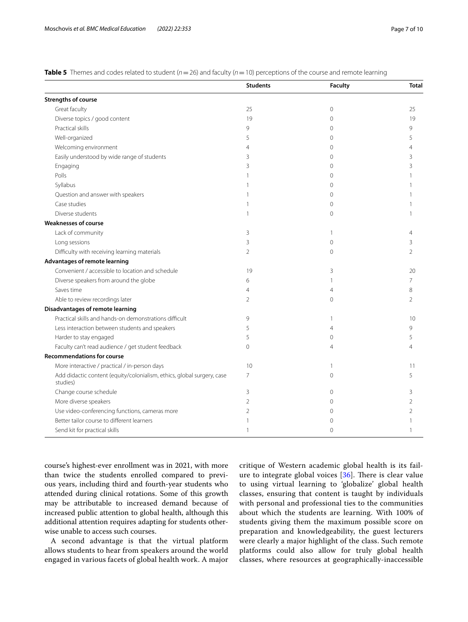<span id="page-6-0"></span>

| <b>Table 5</b> Themes and codes related to student ( $n = 26$ ) and faculty ( $n = 10$ ) perceptions of the course and remote learning |  |
|----------------------------------------------------------------------------------------------------------------------------------------|--|
|----------------------------------------------------------------------------------------------------------------------------------------|--|

|                                                                                    | <b>Students</b> | <b>Faculty</b> | <b>Total</b>   |
|------------------------------------------------------------------------------------|-----------------|----------------|----------------|
| <b>Strengths of course</b>                                                         |                 |                |                |
| Great faculty                                                                      | 25              | $\mathbf 0$    | 25             |
| Diverse topics / good content                                                      | 19              | $\mathbf{0}$   | 19             |
| Practical skills                                                                   | 9               | $\Omega$       | 9              |
| Well-organized                                                                     | 5               | 0              | 5              |
| Welcoming environment                                                              | 4               | $\Omega$       | Δ              |
| Easily understood by wide range of students                                        | 3               | $\Omega$       | 3              |
| Engaging                                                                           | 3               | $\Omega$       | 3              |
| Polls                                                                              |                 | $\Omega$       |                |
| Syllabus                                                                           |                 | $\Omega$       |                |
| Question and answer with speakers                                                  |                 | 0              |                |
| Case studies                                                                       |                 | $\Omega$       |                |
| Diverse students                                                                   | 1               | $\Omega$       |                |
| <b>Weaknesses of course</b>                                                        |                 |                |                |
| Lack of community                                                                  | 3               | 1              | 4              |
| Long sessions                                                                      | 3               | $\Omega$       | 3              |
| Difficulty with receiving learning materials                                       | $\overline{2}$  | $\mathbf{0}$   | $\overline{2}$ |
| <b>Advantages of remote learning</b>                                               |                 |                |                |
| Convenient / accessible to location and schedule                                   | 19              | 3              | 20             |
| Diverse speakers from around the globe                                             | 6               | 1              | 7              |
| Saves time                                                                         | $\overline{4}$  | $\overline{4}$ | 8              |
| Able to review recordings later                                                    | $\overline{2}$  | $\mathbf{0}$   | $\overline{2}$ |
| <b>Disadvantages of remote learning</b>                                            |                 |                |                |
| Practical skills and hands-on demonstrations difficult                             | 9               | 1              | 10             |
| Less interaction between students and speakers                                     | 5               | 4              | 9              |
| Harder to stay engaged                                                             | 5               | $\mathbf{0}$   | 5              |
| Faculty can't read audience / get student feedback                                 | $\mathbf{0}$    | 4              | 4              |
| <b>Recommendations for course</b>                                                  |                 |                |                |
| More interactive / practical / in-person days                                      | 10              | 1              | 11             |
| Add didactic content (equity/colonialism, ethics, global surgery, case<br>studies) | $\overline{7}$  | $\mathbf{0}$   | 5              |
| Change course schedule                                                             | 3               | $\Omega$       | 3              |
| More diverse speakers                                                              | 2               | $\Omega$       | 2              |
| Use video-conferencing functions, cameras more                                     | 2               | $\Omega$       | 2              |
| Better tailor course to different learners                                         | $\mathbf{1}$    | $\Omega$       |                |
| Send kit for practical skills                                                      | -1              | $\Omega$       | 1              |

course's highest-ever enrollment was in 2021, with more than twice the students enrolled compared to previous years, including third and fourth-year students who attended during clinical rotations. Some of this growth may be attributable to increased demand because of increased public attention to global health, although this additional attention requires adapting for students otherwise unable to access such courses.

A second advantage is that the virtual platform allows students to hear from speakers around the world engaged in various facets of global health work. A major critique of Western academic global health is its failure to integrate global voices  $[36]$  $[36]$ . There is clear value to using virtual learning to 'globalize' global health classes, ensuring that content is taught by individuals with personal and professional ties to the communities about which the students are learning. With 100% of students giving them the maximum possible score on preparation and knowledgeability, the guest lecturers were clearly a major highlight of the class. Such remote platforms could also allow for truly global health classes, where resources at geographically-inaccessible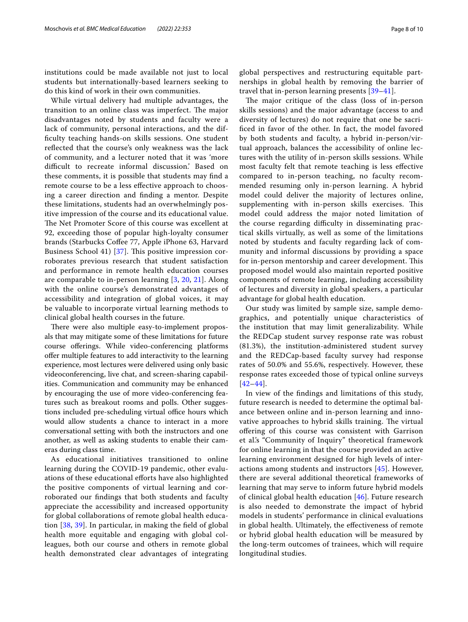institutions could be made available not just to local students but internationally-based learners seeking to do this kind of work in their own communities.

While virtual delivery had multiple advantages, the transition to an online class was imperfect. The major disadvantages noted by students and faculty were a lack of community, personal interactions, and the diffculty teaching hands-on skills sessions. One student refected that the course's only weakness was the lack of community, and a lecturer noted that it was 'more difficult to recreate informal discussion.' Based on these comments, it is possible that students may fnd a remote course to be a less efective approach to choosing a career direction and fnding a mentor. Despite these limitations, students had an overwhelmingly positive impression of the course and its educational value. The Net Promoter Score of this course was excellent at 92, exceeding those of popular high-loyalty consumer brands (Starbucks Cofee 77, Apple iPhone 63, Harvard Business School 41)  $[37]$  $[37]$  $[37]$ . This positive impression corroborates previous research that student satisfaction and performance in remote health education courses are comparable to in-person learning [[3,](#page-8-15) [20](#page-9-2), [21\]](#page-9-3). Along with the online course's demonstrated advantages of accessibility and integration of global voices, it may be valuable to incorporate virtual learning methods to clinical global health courses in the future.

There were also multiple easy-to-implement proposals that may mitigate some of these limitations for future course offerings. While video-conferencing platforms ofer multiple features to add interactivity to the learning experience, most lectures were delivered using only basic videoconferencing, live chat, and screen-sharing capabilities. Communication and community may be enhanced by encouraging the use of more video-conferencing features such as breakout rooms and polls. Other suggestions included pre-scheduling virtual office hours which would allow students a chance to interact in a more conversational setting with both the instructors and one another, as well as asking students to enable their cameras during class time.

As educational initiatives transitioned to online learning during the COVID-19 pandemic, other evaluations of these educational eforts have also highlighted the positive components of virtual learning and corroborated our fndings that both students and faculty appreciate the accessibility and increased opportunity for global collaborations of remote global health education [[38,](#page-9-18) [39](#page-9-19)]. In particular, in making the feld of global health more equitable and engaging with global colleagues, both our course and others in remote global health demonstrated clear advantages of integrating global perspectives and restructuring equitable partnerships in global health by removing the barrier of travel that in-person learning presents [[39](#page-9-19)[–41](#page-9-20)].

The major critique of the class (loss of in-person skills sessions) and the major advantage (access to and diversity of lectures) do not require that one be sacrificed in favor of the other. In fact, the model favored by both students and faculty, a hybrid in-person/virtual approach, balances the accessibility of online lectures with the utility of in-person skills sessions. While most faculty felt that remote teaching is less efective compared to in-person teaching, no faculty recommended resuming only in-person learning. A hybrid model could deliver the majority of lectures online, supplementing with in-person skills exercises. This model could address the major noted limitation of the course regarding difficulty in disseminating practical skills virtually, as well as some of the limitations noted by students and faculty regarding lack of community and informal discussions by providing a space for in-person mentorship and career development. This proposed model would also maintain reported positive components of remote learning, including accessibility of lectures and diversity in global speakers, a particular advantage for global health education.

Our study was limited by sample size, sample demographics, and potentially unique characteristics of the institution that may limit generalizability. While the REDCap student survey response rate was robust (81.3%), the institution-administered student survey and the REDCap-based faculty survey had response rates of 50.0% and 55.6%, respectively. However, these response rates exceeded those of typical online surveys [[42](#page-9-21)[–44](#page-9-22)].

In view of the fndings and limitations of this study, future research is needed to determine the optimal balance between online and in-person learning and innovative approaches to hybrid skills training. The virtual ofering of this course was consistent with Garrison et al.'s "Community of Inquiry" theoretical framework for online learning in that the course provided an active learning environment designed for high levels of interactions among students and instructors [\[45](#page-9-23)]. However, there are several additional theoretical frameworks of learning that may serve to inform future hybrid models of clinical global health education [[46](#page-9-24)]. Future research is also needed to demonstrate the impact of hybrid models in students' performance in clinical evaluations in global health. Ultimately, the efectiveness of remote or hybrid global health education will be measured by the long-term outcomes of trainees, which will require longitudinal studies.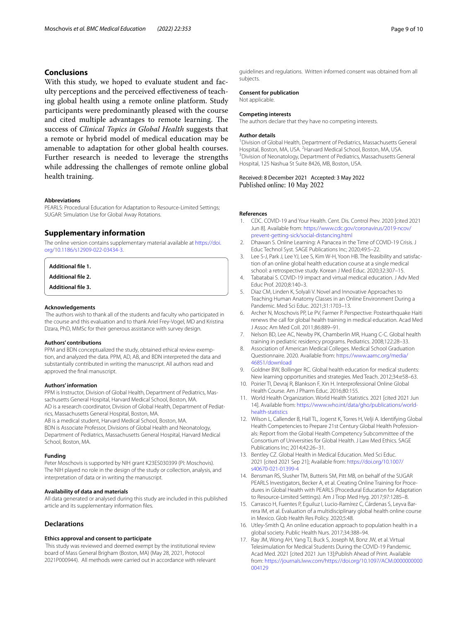## **Conclusions**

With this study, we hoped to evaluate student and faculty perceptions and the perceived efectiveness of teaching global health using a remote online platform. Study participants were predominantly pleased with the course and cited multiple advantages to remote learning. The success of *Clinical Topics in Global Health* suggests that a remote or hybrid model of medical education may be amenable to adaptation for other global health courses. Further research is needed to leverage the strengths while addressing the challenges of remote online global health training.

#### **Abbreviations**

PEARLS: Procedural Education for Adaptation to Resource-Limited Settings; SUGAR: Simulation Use for Global Away Rotations.

#### **Supplementary information**

The online version contains supplementary material available at [https://doi.](https://doi.org/10.1186/s12909-022-03434-3) [org/10.1186/s12909-022-03434-3](https://doi.org/10.1186/s12909-022-03434-3).

<span id="page-8-17"></span><span id="page-8-16"></span>**Additional fle 1.**

<span id="page-8-18"></span>**Additional fle 2.**

**Additional fle 3.**

#### **Acknowledgements**

 The authors wish to thank all of the students and faculty who participated in the course and this evaluation and to thank Ariel Frey-Vogel, MD and Kristina Dzara, PhD, MMSc for their generous assistance with survey design.

#### **Authors' contributions**

PPM and BDN conceptualized the study, obtained ethical review exemption, and analyzed the data. PPM, AD, AB, and BDN interpreted the data and substantially contributed in writing the manuscript. All authors read and approved the fnal manuscript.

#### **Authors' information**

PPM is Instructor, Division of Global Health, Department of Pediatrics, Massachusetts General Hospital, Harvard Medical School, Boston, MA. AD is a research coordinator, Division of Global Health, Department of Pediat-

rics, Massachusetts General Hospital, Boston, MA.

AB is a medical student, Harvard Medical School, Boston, MA.

BDN is Associate Professor, Divisions of Global Health and Neonatology, Department of Pediatrics, Massachusetts General Hospital, Harvard Medical School, Boston, MA.

#### **Funding**

Peter Moschovis is supported by NIH grant K23ES030399 (PI: Moschovis). The NIH played no role in the design of the study or collection, analysis, and interpretation of data or in writing the manuscript.

#### **Availability of data and materials**

All data generated or analysed during this study are included in this published article and its supplementary information fles.

#### **Declarations**

#### **Ethics approval and consent to participate**

 This study was reviewed and deemed exempt by the institutional review board of Mass General Brigham (Boston, MA) (May 28, 2021, Protocol 2021P000944). All methods were carried out in accordance with relevant guidelines and regulations. Written informed consent was obtained from all subjects.

#### **Consent for publication**

Not applicable.

#### **Competing interests**

The authors declare that they have no competing interests.

#### **Author details**

<sup>1</sup> Division of Global Health, Department of Pediatrics, Massachusetts General Hospital, Boston, MA, USA. <sup>2</sup> Harvard Medical School, Boston, MA, USA.<br><sup>3</sup> Division of Neonatology, Department of Pediatrics, Massachusetts Ge <sup>3</sup> Division of Neonatology, Department of Pediatrics, Massachusetts General Hospital, 125 Nashua St Suite 8426, MB, Boston, USA.

## Received: 8 December 2021 Accepted: 3 May 2022

#### **References**

- <span id="page-8-0"></span>1. CDC. COVID-19 and Your Health. Cent. Dis. Control Prev. 2020 [cited 2021 Jun 8]. Available from: [https://www.cdc.gov/coronavirus/2019-ncov/](https://www.cdc.gov/coronavirus/2019-ncov/prevent-getting-sick/social-distancing.html) [prevent-getting-sick/social-distancing.html](https://www.cdc.gov/coronavirus/2019-ncov/prevent-getting-sick/social-distancing.html)
- <span id="page-8-1"></span>2. Dhawan S. Online Learning: A Panacea in the Time of COVID-19 Crisis. J Educ Technol Syst. SAGE Publications Inc; 2020;49:5–22.
- <span id="page-8-15"></span>3. Lee S-J, Park J, Lee YJ, Lee S, Kim W-H, Yoon HB. The feasibility and satisfaction of an online global health education course at a single medical school: a retrospective study. Korean J Med Educ. 2020;32:307–15.
- 4. Tabatabai S. COVID-19 impact and virtual medical education. J Adv Med Educ Prof. 2020;8:140–3.
- <span id="page-8-2"></span>5. Diaz CM, Linden K, Solyali V. Novel and Innovative Approaches to Teaching Human Anatomy Classes in an Online Environment During a Pandemic. Med Sci Educ. 2021;31:1703–13.
- <span id="page-8-3"></span>6. Archer N, Moschovis PP, Le PV, Farmer P. Perspective: Postearthquake Haiti renews the call for global health training in medical education. Acad Med J Assoc Am Med Coll. 2011;86:889–91.
- <span id="page-8-4"></span>7. Nelson BD, Lee AC, Newby PK, Chamberlin MR, Huang C-C. Global health training in pediatric residency programs. Pediatrics. 2008;122:28–33.
- <span id="page-8-5"></span>8. Association of American Medical Colleges. Medical School Graduation Questionnaire. 2020. Available from: [https://www.aamc.org/media/](https://www.aamc.org/media/46851/download) [46851/download](https://www.aamc.org/media/46851/download)
- <span id="page-8-6"></span>Goldner BW, Bollinger RC. Global health education for medical students: New learning opportunities and strategies. Med Teach. 2012;34:e58–63.
- <span id="page-8-7"></span>10. Poirier TI, Devraj R, Blankson F, Xin H. Interprofessional Online Global Health Course. Am J Pharm Educ. 2016;80:155.
- <span id="page-8-8"></span>11. World Health Organization. World Health Statistics. 2021 [cited 2021 Jun 14]. Available from: [https://www.who.int/data/gho/publications/world](https://www.who.int/data/gho/publications/world-health-statistics) [health-statistics](https://www.who.int/data/gho/publications/world-health-statistics)
- <span id="page-8-9"></span>12. Wilson L, Callender B, Hall TL, Jogerst K, Torres H, Velji A. Identifying Global Health Competencies to Prepare 21st Century Global Health Professionals: Report from the Global Health Competency Subcommittee of the Consortium of Universities for Global Health. J Law Med Ethics. SAGE Publications Inc; 2014;42:26–31.
- <span id="page-8-10"></span>13. Bentley CZ. Global Health in Medical Education. Med Sci Educ. 2021 [cited 2021 Sep 21]; Available from: [https://doi.org/10.1007/](https://doi.org/10.1007/s40670-021-01399-4) [s40670-021-01399-4](https://doi.org/10.1007/s40670-021-01399-4)
- <span id="page-8-11"></span>14. Bensman RS, Slusher TM, Butteris SM, Pitt MB, on behalf of the SUGAR PEARLS Investigators, Becker A, et al. Creating Online Training for Procedures in Global Health with PEARLS (Procedural Education for Adaptation to Resource-Limited Settings). Am J Trop Med Hyg. 2017;97:1285–8.
- <span id="page-8-12"></span>15. Carrasco H, Fuentes P, Eguiluz I, Lucio-Ramírez C, Cárdenas S, Leyva Barrera IM, et al. Evaluation of a multidisciplinary global health online course in Mexico. Glob Health Res Policy. 2020;5:48.
- <span id="page-8-13"></span>16. Utley-Smith Q. An online education approach to population health in a global society. Public Health Nurs. 2017;34:388–94.
- <span id="page-8-14"></span>17. Ray JM, Wong AH, Yang TJ, Buck S, Joseph M, Bonz JW, et al. Virtual Telesimulation for Medical Students During the COVID-19 Pandemic. Acad Med. 2021 [cited 2021 Jun 13];Publish Ahead of Print. Available from: <https://journals.lww.com/>[https://doi.org/10.1097/ACM.0000000000](https://doi.org/10.1097/ACM.0000000000004129) [004129](https://doi.org/10.1097/ACM.0000000000004129)